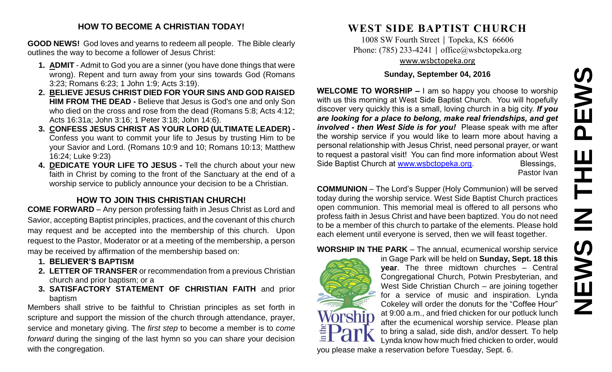# **NEWS IN THE PEWS**PEWS  $\mathbf{u}$ HH H **SMENS**

#### **HOW TO BECOME A CHRISTIAN TODAY!**

**GOOD NEWS!** God loves and yearns to redeem all people. The Bible clearly outlines the way to become a follower of Jesus Christ:

- **1. ADMIT** Admit to God you are a sinner (you have done things that were wrong). Repent and turn away from your sins towards God (Romans 3:23; Romans 6:23; 1 John 1:9; Acts 3:19).
- **2. BELIEVE JESUS CHRIST DIED FOR YOUR SINS AND GOD RAISED HIM FROM THE DEAD -** Believe that Jesus is God's one and only Son who died on the cross and rose from the dead (Romans 5:8; Acts 4:12; Acts 16:31a; John 3:16; 1 Peter 3:18; John 14:6).
- **3. CONFESS JESUS CHRIST AS YOUR LORD (ULTIMATE LEADER) -** Confess you want to commit your life to Jesus by trusting Him to be your Savior and Lord. (Romans 10:9 and 10; Romans 10:13; Matthew 16:24; Luke 9:23)
- **4. DEDICATE YOUR LIFE TO JESUS -** Tell the church about your new faith in Christ by coming to the front of the Sanctuary at the end of a worship service to publicly announce your decision to be a Christian.

### **HOW TO JOIN THIS CHRISTIAN CHURCH!**

**COME FORWARD** – Any person professing faith in Jesus Christ as Lord and Savior, accepting Baptist principles, practices, and the covenant of this church may request and be accepted into the membership of this church. Upon request to the Pastor, Moderator or at a meeting of the membership, a person may be received by affirmation of the membership based on:

- **1. BELIEVER'S BAPTISM**
- **2. LETTER OF TRANSFER** or recommendation from a previous Christian church and prior baptism; or a
- **3. SATISFACTORY STATEMENT OF CHRISTIAN FAITH** and prior baptism

Members shall strive to be faithful to Christian principles as set forth in scripture and support the mission of the church through attendance, prayer, service and monetary giving. The *first step* to become a member is to *come forward* during the singing of the last hymn so you can share your decision with the congregation.

# **WEST SIDE BAPTIST CHURCH**

1008 SW Fourth Street | Topeka, KS 66606 Phone: (785) 233-4241 │ [office@wsbctopeka.org](mailto:office@wsbctopeka.org) [www.wsbctopeka.org](http://www.wsbctopeka.org/)

#### **Sunday, September 04, 2016**

**WELCOME TO WORSHIP –** I am so happy you choose to worship with us this morning at West Side Baptist Church. You will hopefully discover very quickly this is a small, loving church in a big city. *If you are looking for a place to belong, make real friendships, and get involved - then West Side is for you!* Please speak with me after the worship service if you would like to learn more about having a personal relationship with Jesus Christ, need personal prayer, or want to request a pastoral visit! You can find more information about West Side Baptist Church at [www.wsbctopeka.org.](http://www.wsbctopeka.org/) Blessings,

Pastor Ivan

**COMMUNION** – The Lord's Supper (Holy Communion) will be served today during the worship service. West Side Baptist Church practices open communion. This memorial meal is offered to all persons who profess faith in Jesus Christ and have been baptized. You do not need to be a member of this church to partake of the elements. Please hold each element until everyone is served, then we will feast together.

#### **WORSHIP IN THE PARK** – The annual, ecumenical worship service



in Gage Park will be held on **Sunday, Sept. 18 this year**. The three midtown churches – Central Congregational Church, Potwin Presbyterian, and West Side Christian Church – are joining together for a service of music and inspiration. Lynda Cokeley will order the donuts for the "Coffee Hour" at 9:00 a.m., and fried chicken for our potluck lunch after the ecumenical worship service. Please plan to bring a salad, side dish, and/or dessert. To help Lynda know how much fried chicken to order, would

you please make a reservation before Tuesday, Sept. 6.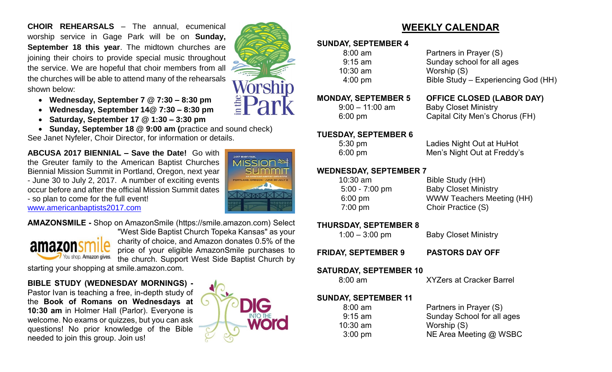**CHOIR REHEARSALS** – The annual, ecumenical worship service in Gage Park will be on **Sunday, September 18 this year**. The midtown churches are joining their choirs to provide special music throughout the service. We are hopeful that choir members from all the churches will be able to attend many of the rehearsals shown below:

- **Wednesday, September 7 @ 7:30 – 8:30 pm**
- **Wednesday, September 14@ 7:30 – 8:30 pm**
- **Saturday, September 17 @ 1:30 – 3:30 pm**
- **Sunday, September 18 @ 9:00 am (**practice and sound check)

See Janet Nyfeler, Choir Director, for information or details.

**ABCUSA 2017 BIENNIAL – Save the Date!** Go with the Greuter family to the American Baptist Churches Biennial Mission Summit in Portland, Oregon, next year - June 30 to July 2, 2017. A number of exciting events occur before and after the official Mission Summit dates - so plan to come for the full event!

[www.americanbaptists2017.com](http://www.americanbaptists2017.com/)

**AMAZONSMILE -** Shop on AmazonSmile (https://smile.amazon.com) Select



"West Side Baptist Church Topeka Kansas" as your charity of choice, and Amazon donates 0.5% of the price of your eligible AmazonSmile purchases to the church. Support West Side Baptist Church by

starting your shopping at smile.amazon.com.

#### **BIBLE STUDY (WEDNESDAY MORNINGS) -**

Pastor Ivan is teaching a free, in-depth study of the **Book of Romans on Wednesdays at 10:30 am** in Holmer Hall (Parlor). Everyone is welcome. No exams or quizzes, but you can ask questions! No prior knowledge of the Bible needed to join this group. Join us!



2017 Bienniau **MISSIOI** 



## **WEEKLY CALENDAR**

#### **SUNDAY, SEPTEMBER 4**

 8:00 am Partners in Prayer (S) 9:15 am Sunday school for all ages 10:30 am Worship (S) 4:00 pm Bible Study – Experiencing God (HH)

## **MONDAY, SEPTEMBER 5 OFFICE CLOSED (LABOR DAY)**

9:00 – 11:00 am Baby Closet Ministry 6:00 pm Capital City Men's Chorus (FH)

#### **TUESDAY, SEPTEMBER 6**

5:30 pm Ladies Night Out at HuHot 6:00 pm Men's Night Out at Freddy's

#### **WEDNESDAY, SEPTEMBER 7**

| $10:30$ am        | Bible Study (HH)                 |
|-------------------|----------------------------------|
| $5:00 - 7:00$ pm  | <b>Baby Closet Ministry</b>      |
| $6:00 \text{ pm}$ | <b>WWW Teachers Meeting (HH)</b> |
| $7:00 \text{ pm}$ | Choir Practice (S)               |
|                   |                                  |

#### **THURSDAY, SEPTEMBER 8**

1:00 – 3:00 pm Baby Closet Ministry

**FRIDAY, SEPTEMBER 9 PASTORS DAY OFF**

#### **SATURDAY, SEPTEMBER 10**

8:00 am XYZers at Cracker Barrel

#### **SUNDAY, SEPTEMBER 11**

10:30 am Worship (S)

8:00 am Partners in Prayer (S) 9:15 am Sunday School for all ages 3:00 pm NE Area Meeting @ WSBC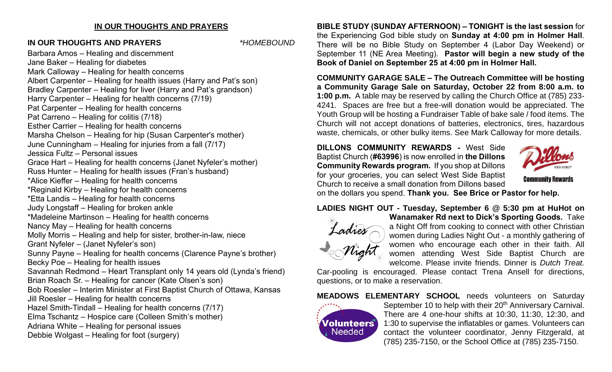#### **IN OUR THOUGHTS AND PRAYERS**

#### **IN OUR THOUGHTS AND PRAYERS** *\*HOMEBOUND*

Barbara Amos – Healing and discernment Jane Baker – Healing for diabetes Mark Calloway – Healing for health concerns Albert Carpenter – Healing for health issues (Harry and Pat's son) Bradley Carpenter – Healing for liver (Harry and Pat's grandson) Harry Carpenter – Healing for health concerns (7/19) Pat Carpenter – Healing for health concerns Pat Carreno – Healing for colitis (7/18) Esther Carrier – Healing for health concerns Marsha Chelson – Healing for hip (Susan Carpenter's mother) June Cunningham – Healing for injuries from a fall (7/17) Jessica Fultz – Personal issues Grace Hart – Healing for health concerns (Janet Nyfeler's mother) Russ Hunter – Healing for health issues (Fran's husband) \*Alice Kieffer – Healing for health concerns \*Reginald Kirby – Healing for health concerns \*Etta Landis – Healing for health concerns Judy Longstaff – Healing for broken ankle \*Madeleine Martinson – Healing for health concerns Nancy May – Healing for health concerns Molly Morris – Healing and help for sister, brother-in-law, niece Grant Nyfeler – (Janet Nyfeler's son) Sunny Payne – Healing for health concerns (Clarence Payne's brother) Becky Poe – Healing for health issues Savannah Redmond – Heart Transplant only 14 years old (Lynda's friend) Brian Roach Sr. – Healing for cancer (Kate Olsen's son) Bob Roesler – Interim Minister at First Baptist Church of Ottawa, Kansas Jill Roesler – Healing for health concerns Hazel Smith-Tindall – Healing for health concerns (7/17) Elma Tschantz – Hospice care (Colleen Smith's mother) Adriana White – Healing for personal issues Debbie Wolgast – Healing for foot (surgery)

**BIBLE STUDY (SUNDAY AFTERNOON) – TONIGHT is the last session** for the Experiencing God bible study on **Sunday at 4:00 pm in Holmer Hall**. There will be no Bible Study on September 4 (Labor Day Weekend) or September 11 (NE Area Meeting). **Pastor will begin a new study of the Book of Daniel on September 25 at 4:00 pm in Holmer Hall.** 

**COMMUNITY GARAGE SALE – The Outreach Committee will be hosting a Community Garage Sale on Saturday, October 22 from 8:00 a.m. to 1:00 p.m.** A table may be reserved by calling the Church Office at (785) 233- 4241. Spaces are free but a free-will donation would be appreciated. The Youth Group will be hosting a Fundraiser Table of bake sale / food items. The Church will not accept donations of batteries, electronics, tires, hazardous waste, chemicals, or other bulky items. See Mark Calloway for more details.

**DILLONS COMMUNITY REWARDS -** West Side Baptist Church (**#63996**) is now enrolled in **the Dillons Community Rewards program.** If you shop at Dillons for your groceries, you can select West Side Baptist Church to receive a small donation from Dillons based



on the dollars you spend. **Thank you. See Brice or Pastor for help.**

**LADIES NIGHT OUT - Tuesday, September 6 @ 5:30 pm at HuHot on** 



**Wanamaker Rd next to Dick's Sporting Goods.** Take a Night Off from cooking to connect with other Christian women during Ladies Night Out - a monthly gathering of women who encourage each other in their faith. All women attending West Side Baptist Church are welcome. Please invite friends. Dinner is *Dutch Treat.*

Car-pooling is encouraged. Please contact Trena Ansell for directions, questions, or to make a reservation.

**MEADOWS ELEMENTARY SCHOOL** needs volunteers on Saturday



September 10 to help with their 20<sup>th</sup> Anniversary Carnival. There are 4 one-hour shifts at 10:30, 11:30, 12:30, and 1:30 to supervise the inflatables or games. Volunteers can contact the volunteer coordinator, Jenny Fitzgerald, at (785) 235-7150, or the School Office at (785) 235-7150.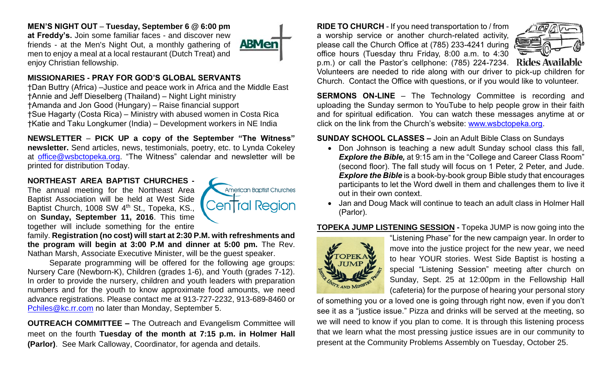#### **MEN'S NIGHT OUT** – **Tuesday, September 6 @ 6:00 pm**

**at Freddy's.** Join some familiar faces - and discover new friends - at the Men's Night Out, a monthly gathering of men to enjoy a meal at a local restaurant (Dutch Treat) and enjoy Christian fellowship.



#### **MISSIONARIES - PRAY FOR GOD'S GLOBAL SERVANTS**

†Dan Buttry (Africa) –Justice and peace work in Africa and the Middle East †Annie and Jeff Dieselberg (Thailand) – Night Light ministry †Amanda and Jon Good (Hungary) – Raise financial support †Sue Hagarty (Costa Rica) – Ministry with abused women in Costa Rica †Katie and Taku Longkumer (India) – Development workers in NE India

**NEWSLETTER** – **PICK UP a copy of the September "The Witness" newsletter.** Send articles, news, testimonials, poetry, etc. to Lynda Cokeley at [office@wsbctopeka.org.](mailto:office@wsbctopeka.org) "The Witness" calendar and newsletter will be printed for distribution Today.

### **NORTHEAST AREA BAPTIST CHURCHES -**

The annual meeting for the Northeast Area Baptist Association will be held at West Side Baptist Church, 1008 SW 4<sup>th</sup> St., Topeka, KS., on **Sunday, September 11, 2016**. This time together will include something for the entire



family. **Registration (no cost) will start at 2:30 P.M. with refreshments and the program will begin at 3:00 P.M and dinner at 5:00 pm.** The Rev. Nathan Marsh, Associate Executive Minister, will be the guest speaker.

Separate programming will be offered for the following age groups: Nursery Care (Newborn-K), Children (grades 1-6), and Youth (grades 7-12). In order to provide the nursery, children and youth leaders with preparation numbers and for the youth to know approximate food amounts, we need advance registrations. Please contact me at 913-727-2232, 913-689-8460 or [Pchiles@kc.rr.com](mailto:Pchiles@kc.rr.com) no later than Monday, September 5.

**OUTREACH COMMITTEE –** The Outreach and Evangelism Committee will meet on the fourth **Tuesday of the month at 7:15 p.m. in Holmer Hall (Parlor)**. See Mark Calloway, Coordinator, for agenda and details.

**RIDE TO CHURCH** - If you need transportation to / from a worship service or another church-related activity, please call the Church Office at (785) 233-4241 during office hours (Tuesday thru Friday, 8:00 a.m. to 4:30 p.m.) or call the Pastor's cellphone: (785) 224-7234. Rides Available



Volunteers are needed to ride along with our driver to pick-up children for Church. Contact the Office with questions, or if you would like to volunteer.

**SERMONS ON-LINE** – The Technology Committee is recording and uploading the Sunday sermon to YouTube to help people grow in their faith and for spiritual edification. You can watch these messages anytime at or click on the link from the Church's website: [www.wsbctopeka.org.](http://www.wsbctopeka.org/)

**SUNDAY SCHOOL CLASSES –** Join an Adult Bible Class on Sundays

- Don Johnson is teaching a new adult Sunday school class this fall, **Explore the Bible,** at 9:15 am in the "College and Career Class Room" (second floor). The fall study will focus on 1 Peter, 2 Peter, and Jude. *Explore the Bible* is a book-by-book group Bible study that encourages participants to let the Word dwell in them and challenges them to live it out in their own context.
- Jan and Doug Mack will continue to teach an adult class in Holmer Hall (Parlor).

#### **TOPEKA JUMP LISTENING SESSION -** Topeka JUMP is now going into the



"Listening Phase" for the new campaign year. In order to move into the justice project for the new year, we need to hear YOUR stories. West Side Baptist is hosting a special "Listening Session" meeting after church on Sunday, Sept. 25 at 12:00pm in the Fellowship Hall (cafeteria) for the purpose of hearing your personal story

of something you or a loved one is going through right now, even if you don't see it as a "justice issue." Pizza and drinks will be served at the meeting, so we will need to know if you plan to come. It is through this listening process that we learn what the most pressing justice issues are in our community to present at the Community Problems Assembly on Tuesday, October 25.